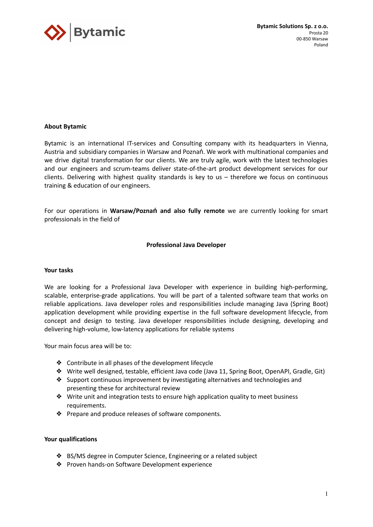

# **About Bytamic**

Bytamic is an international IT-services and Consulting company with its headquarters in Vienna, Austria and subsidiary companies in Warsaw and Poznań. We work with multinational companies and we drive digital transformation for our clients. We are truly agile, work with the latest technologies and our engineers and scrum-teams deliver state-of-the-art product development services for our clients. Delivering with highest quality standards is key to us – therefore we focus on continuous training & education of our engineers.

For our operations in **Warsaw/Poznań and also fully remote** we are currently looking for smart professionals in the field of

# **Professional Java Developer**

# **Your tasks**

We are looking for a Professional Java Developer with experience in building high-performing, scalable, enterprise-grade applications. You will be part of a talented software team that works on reliable applications. Java developer roles and responsibilities include managing Java (Spring Boot) application development while providing expertise in the full software development lifecycle, from concept and design to testing. Java developer responsibilities include designing, developing and delivering high-volume, low-latency applications for reliable systems

Your main focus area will be to:

- ❖ Contribute in all phases of the development lifecycle
- ❖ Write well designed, testable, efficient Java code (Java 11, Spring Boot, OpenAPI, Gradle, Git)
- ❖ Support continuous improvement by investigating alternatives and technologies and presenting these for architectural review
- ❖ Write unit and integration tests to ensure high application quality to meet business requirements.
- ❖ Prepare and produce releases of software components.

### **Your qualifications**

- ❖ BS/MS degree in Computer Science, Engineering or a related subject
- ❖ Proven hands-on Software Development experience